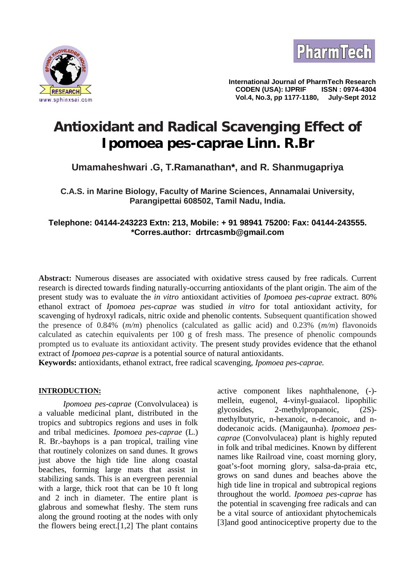



**International Journal of PharmTech Research CODEN (USA): IJPRIF ISSN : 0974-4304 Vol.4, No.3, pp 1177-1180, July-Sept 2012**

# **Antioxidant and Radical Scavenging Effect of** *Ipomoea pes-caprae* **Linn. R.Br**

# **Umamaheshwari .G, T.Ramanathan\*, and R. Shanmugapriya**

**C.A.S. in Marine Biology, Faculty of Marine Sciences, Annamalai University, Parangipettai 608502, Tamil Nadu, India.**

# **Telephone: 04144-243223 Extn: 213, Mobile: + 91 98941 75200: Fax: 04144-243555. \*Corres.author: drtrcasmb@gmail.com**

**Abstract:** Numerous diseases are associated with oxidative stress caused by free radicals. Current research is directed towards finding naturally-occurring antioxidants of the plant origin. The aim of the present study was to evaluate the *in vitro* antioxidant activities of *Ipomoea pes-caprae* extract. 80% ethanol extract of *Ipomoea pes-caprae* was studied *in vitro* for total antioxidant activity, for scavenging of hydroxyl radicals, nitric oxide and phenolic contents. Subsequent quantification showed the presence of 0.84% (*m/m*) phenolics (calculated as gallic acid) and 0.23% (*m/m*) flavonoids calculated as catechin equivalents per 100 g of fresh mass. The presence of phenolic compounds prompted us to evaluate its antioxidant activity. The present study provides evidence that the ethanol extract of *Ipomoea pes-caprae* is a potential source of natural antioxidants.

**Keywords:** antioxidants, ethanol extract, free radical scavenging, *Ipomoea pes-caprae.*

#### **INTRODUCTION:**

*Ipomoea pes-caprae* (Convolvulacea) is finitelling the problem of the process of the process of the process of the process of the process of the process of the process of the process of the process of the process of the p a valuable medicinal plant, distributed in the tropics and subtropics regions and uses in folk and tribal medicines. *Ipomoea pes-caprae* (L.) R. Br.-bayhops is a pan tropical, trailing vine that routinely colonizes on sand dunes. It grows just above the high tide line along coastal beaches, forming large mats that assist in stabilizing sands. This is an evergreen perennial with a large, thick root that can be 10 ft long and 2 inch in diameter. The entire plant is glabrous and somewhat fleshy. The stem runs along the ground rooting at the nodes with only the flowers being erect. $[1,2]$  The plant contains

active component likes naphthalenone, (-) mellein, eugenol, 4-vinyl-guaiacol. lipophilic  $2$ -methylpropanoic,  $(2S)$ methylbutyric, n-hexanoic, n-decanoic, and n dodecanoic acids. (Manigaunha). *Ipomoea pes caprae* (Convolvulacea) plant is highly reputed in folk and tribal medicines. Known by different names like Railroad vine, coast morning glory, goat's-foot morning glory, salsa-da-praia etc, grows on sand dunes and beaches above the high tide line in tropical and subtropical regions throughout the world. *Ipomoea pes-caprae* has the potential in scavenging free radicals and can be a vital source of antioxidant phytochemicals [3]and good antinociceptive property due to the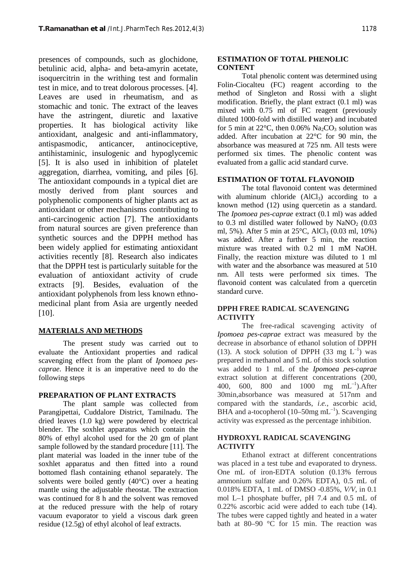presences of compounds, such as glochidone, betulinic acid, alpha- and beta-amyrin acetate, isoquercitrin in the writhing test and formalin test in mice, and to treat dolorous processes. [4]. Leaves are used in rheumatism, and as stomachic and tonic. The extract of the leaves have the astringent, diuretic and laxative properties. It has biological activity like antioxidant, analgesic and anti-inflammatory, antispasmodic, anticancer, antinociceptive, antihistaminic, insulogenic and hypoglycemic [5]. It is also used in inhibition of platelet aggregation, diarrhea, vomiting, and piles [6]. The antioxidant compounds in a typical diet are mostly derived from plant sources and polyphenolic components of higher plants act as antioxidant or other mechanisms contributing to anti-carcinogenic action [7]. The antioxidants from natural sources are given preference than synthetic sources and the DPPH method has been widely applied for estimating antioxidant activities recently [8]. Research also indicates that the DPPH test is particularly suitable for the evaluation of antioxidant activity of crude extracts [9]. Besides, evaluation of the antioxidant polyphenols from less known ethno medicinal plant from Asia are urgently needed [10].

# **MATERIALS AND METHODS**

The present study was carried out to evaluate the Antioxidant properties and radical scavenging effect from the plant of *Ipomoea pes caprae*. Hence it is an imperative need to do the following steps

#### **PREPARATION OF PLANT EXTRACTS**

The plant sample was collected from Parangipettai, Cuddalore District, Tamilnadu. The dried leaves (1.0 kg) were powdered by electrical blender. The soxhlet apparatus which contain the 80% of ethyl alcohol used for the 20 gm of plant sample followed by the standard procedure [11]. The plant material was loaded in the inner tube of the soxhlet apparatus and then fitted into a round bottomed flash containing ethanol separately. The solvents were boiled gently (40°C) over a heating mantle using the adjustable rheostat. The extraction was continued for 8 h and the solvent was removed at the reduced pressure with the help of rotary vacuum evaporator to yield a viscous dark green residue (12.5g) of ethyl alcohol of leaf extracts.

### **ESTIMATION OF TOTAL PHENOLIC CONTENT**

Total phenolic content was determined using Folin-Ciocalteu (FC) reagent according to the method of Singleton and Rossi with a slight modification. Briefly, the plant extract (0.1 ml) was mixed with 0.75 ml of FC reagent (previously diluted 1000-fold with distilled water) and incubated for 5 min at 22 $^{\circ}$ C, then 0.06% Na<sub>2</sub>CO<sub>3</sub> solution was added. After incubation at 22°C for 90 min, the absorbance was measured at 725 nm. All tests were performed six times. The phenolic content was evaluated from a gallic acid standard curve.

# **ESTIMATION OF TOTAL FLAVONOID**

The total flavonoid content was determined with aluminum chloride  $(AICI_3)$  according to a known method (12) using quercetin as a standard. The *Ipomoea pes-caprae* extract (0.1 ml) was added to 0.3 ml distilled water followed by  $\text{NaNO}_2$  (0.03) ml, 5%). After 5 min at  $25^{\circ}$ C, AlCl<sub>3</sub> (0.03 ml, 10%) was added. After a further 5 min, the reaction mixture was treated with 0.2 ml 1 mM NaOH. Finally, the reaction mixture was diluted to 1 ml with water and the absorbance was measured at 510 nm. All tests were performed six times. The flavonoid content was calculated from a quercetin standard curve.

# **DPPH FREE RADICAL SCAVENGING ACTIVITY**

The free-radical scavenging activity of *Ipomoea pes-caprae* extract was measured by the decrease in absorbance of ethanol solution of DPPH (13). A stock solution of DPPH (33 mg  $L^{-1}$ ) was prepared in methanol and 5 mL of this stock solution was added to 1 mL of the *Ipomoea pes-caprae* extract solution at different concentrations (200, 400, 600, 800 and 1000 mg mL<sup>-1</sup>).After 30min,absorbance was measured at 517nm and compared with the standards, *i.e.*, ascorbic acid, BHA and a-tocopherol (10–50mg  $mL^{-1}$ ). Scavenging activity was expressed as the percentage inhibition.

# **HYDROXYL RADICAL SCAVENGING ACTIVITY**

Ethanol extract at different concentrations was placed in a test tube and evaporated to dryness. One mL of iron-EDTA solution (0.13% ferrous ammonium sulfate and 0.26% EDTA), 0.5 mL of 0.018% EDTA, 1 mL of DMSO -0.85%, *V/V*, in 0.1 mol L–1 phosphate buffer, pH 7.4 and 0.5 mL of 0.22% ascorbic acid were added to each tube (14). The tubes were capped tightly and heated in a water bath at 80–90 °C for 15 min. The reaction was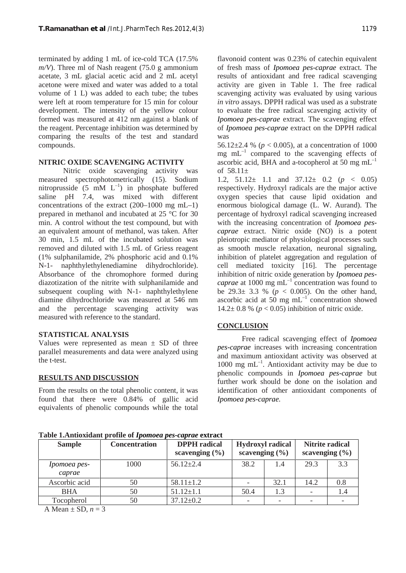terminated by adding 1 mL of ice-cold TCA (17.5% *m/V*). Three ml of Nash reagent (75.0 g ammonium acetate, 3 mL glacial acetic acid and 2 mL acetyl acetone were mixed and water was added to a total volume of 1 L) was added to each tube; the tubes were left at room temperature for 15 min for colour development. The intensity of the yellow colour formed was measured at 412 nm against a blank of the reagent. Percentage inhibition was determined by comparing the results of the test and standard compounds.

#### **NITRIC OXIDE SCAVENGING ACTIVITY**

Nitric oxide scavenging activity was measured spectrophotometrically (15). Sodium nitroprusside (5 mM  $L^{-1}$ ) in phosphate buffered saline pH 7.4, was mixed with different concentrations of the extract (200–1000 mg mL–1) prepared in methanol and incubated at 25 °C for 30 min. A control without the test compound, but with an equivalent amount of methanol, was taken. After 30 min, 1.5 mL of the incubated solution was removed and diluted with 1.5 mL of Griess reagent (1% sulphanilamide, 2% phosphoric acid and 0.1% N-1- naphthylethylenediamine dihydrochloride). Absorbance of the chromophore formed during diazotization of the nitrite with sulphanilamide and subsequent coupling with N-1- naphthylethylene diamine dihydrochloride was measured at 546 nm and the percentage scavenging activity was measured with reference to the standard.

# **STATISTICAL ANALYSIS**

Values were represented as mean  $\pm$  SD of three parallel measurements and data were analyzed using the t-test.

#### **RESULTS AND DISCUSSION**

From the results on the total phenolic content, it was found that there were 0.84% of gallic acid equivalents of phenolic compounds while the total

flavonoid content was 0.23% of catechin equivalent of fresh mass of *Ipomoea pes-caprae* extract. The results of antioxidant and free radical scavenging activity are given in Table 1. The free radical scavenging activity was evaluated by using various *in vitro* assays. DPPH radical was used as a substrate to evaluate the free radical scavenging activity of *Ipomoea pes-caprae* extract. The scavenging effect of *Ipomoea pes-caprae* extract on the DPPH radical was

56.12 $\pm$ 2.4 % ( $p < 0.005$ ), at a concentration of 1000 mg  $mL^{-1}$  compared to the scavenging effects of ascorbic acid, BHA and a-tocopherol at 50 mg  $mL^{-1}$ of  $58.11 \pm$ 

1.2,  $51.12 \pm 1.1$  and  $37.12 \pm 0.2$  ( $p < 0.05$ ) respectively. Hydroxyl radicals are the major active oxygen species that cause lipid oxidation and enormous biological damage (L. W. Aurand). The percentage of hydroxyl radical scavenging increased with the increasing concentration of *Ipomoea pes caprae* extract. Nitric oxide (NO) is a potent pleiotropic mediator of physiological processes such as smooth muscle relaxation, neuronal signaling, inhibition of platelet aggregation and regulation of cell mediated toxicity [16]. The percentage inhibition of nitric oxide generation by *Ipomoea pes caprae* at 1000 mg  $mL^{-1}$  concentration was found to be  $29.3 \pm 3.3$  % ( $p < 0.005$ ). On the other hand, ascorbic acid at 50 mg  $mL^{-1}$  concentration showed 14.2 $\pm$  0.8 % ( $p < 0.05$ ) inhibition of nitric oxide.

#### **CONCLUSION**

Free radical scavenging effect of *Ipomoea pes-caprae* increases with increasing concentration and maximum antioxidant activity was observed at  $1000 \text{ mg } \text{mL}^{-1}$ . Antioxidant activity may be due to phenolic compounds in *Ipomoea pes-caprae* but further work should be done on the isolation and identification of other antioxidant components of *Ipomoea pes-caprae.*

**Sample Concentration DPPH radical scavenging (%) Hydroxyl radical scavenging (%) Nitrite radical scavenging (%)** *Ipomoea pes caprae* 1000 56.12±2.4 38.2 1.4 29.3 3.3 Ascorbic acid 50 58.11±1.2 - 32.1 14.2 0.8 BHA 50 51.12±1.1 50.4 1.3 - 1.4 Tocopherol 50  $37.12 \pm 0.2$  - - - -

**Table 1.Antioxidant profile of** *Ipomoea pes-caprae* **extract**

A Mean  $\pm$  SD,  $n = 3$